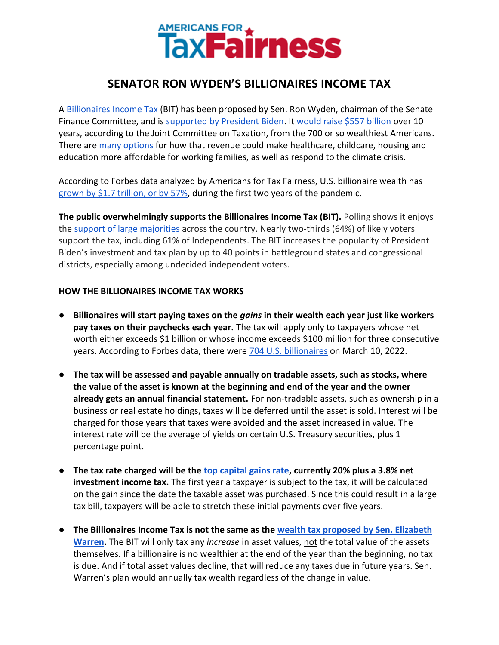

# **SENATOR RON WYDEN'S BILLIONAIRES INCOME TAX**

A [Billionaires Income Tax](https://www.finance.senate.gov/chairmans-news/wyden-unveils-billionaires-income-tax) (BIT) has been proposed by Sen. Ron Wyden, chairman of the Senate Finance Committee, and is [supported by President Biden.](https://www.wsj.com/articles/biden-expresses-support-forannual-tax-on-billionaires-unrealized-gains-11632498487) It [would raise \\$557 billion](https://www.finance.senate.gov/chairmans-news/wyden-statement-on-billionaires-income-tax-score) over 10 years, according to the Joint Committee on Taxation, from the 700 or so wealthiest Americans. There are [many options](https://americansfortaxfairness.org/issue/6-ways-spend-revenue-billionaires-income-tax/) for how that revenue could make healthcare, childcare, housing and education more affordable for working families, as well as respond to the climate crisis.

According to Forbes data analyzed by Americans for Tax Fairness, U.S. billionaire wealth has [grown by \\$1.7 trillion, or by](https://americansfortaxfairness.org/issue/2-years-covid-u-s-billionaires-1-7-trillion-57-richer/) 57%, during the first two years of the pandemic.

**The public overwhelmingly supports the Billionaires Income Tax (BIT).** Polling shows it enjoys th[e](https://docs.google.com/document/d/1AhWvucOLV2qY6izLkZvHpPig6DDmdFaCbmeM-5E65Xw/edit) [support of large majorities](https://docs.google.com/document/d/1AhWvucOLV2qY6izLkZvHpPig6DDmdFaCbmeM-5E65Xw/edit) across the country. Nearly two-thirds (64%) of likely voters support the tax, including 61% of Independents. The BIT increases the popularity of President Biden's investment and tax plan by up to 40 points in battleground states and congressional districts, especially among undecided independent voters.

# **HOW THE BILLIONAIRES INCOME TAX WORKS**

- **Billionaires will start paying taxes on the** *gains* **in their wealth each year just like workers pay taxes on their paychecks each year.** The tax will apply only to taxpayers whose net worth either exceeds \$1 billion or whose income exceeds \$100 million for three consecutive years. According to Forbes data, there wer[e](https://americansfortaxfairness.org/issue/2-years-covid-u-s-billionaires-1-7-trillion-57-richer/) [704 U.S. billionaires](https://americansfortaxfairness.org/issue/2-years-covid-u-s-billionaires-1-7-trillion-57-richer/) on March 10, 2022.
- **The tax will be assessed and payable annually on tradable assets, such as stocks, where the value of the asset is known at the beginning and end of the year and the owner already gets an annual financial statement.** For non-tradable assets, such as ownership in a business or real estate holdings, taxes will be deferred until the asset is sold. Interest will be charged for those years that taxes were avoided and the asset increased in value. The interest rate will be the average of yields on certain U.S. Treasury securities, plus 1 percentage point.
- **The tax rate charged will be th[e](https://www.finance.senate.gov/download/billionaires-income-tax-section-by-section) [top capital gains rate,](https://www.finance.senate.gov/download/billionaires-income-tax-section-by-section) currently 20% plus a 3.8% net investment income tax.** The first year a taxpayer is subject to the tax, it will be calculated on the gain since the date the taxable asset was purchased. Since this could result in a large tax bill, taxpayers will be able to stretch these initial payments over five years.
- **The Billionaires Income Tax is not the same as the [wealth tax proposed by Sen. Elizabeth](https://www.warren.senate.gov/imo/media/doc/Summary%20-%20Ultra%20Millionaire%20Tax%20Act%20of%2020211.pdf)  [Warren.](https://www.warren.senate.gov/imo/media/doc/Summary%20-%20Ultra%20Millionaire%20Tax%20Act%20of%2020211.pdf)** The BIT will only tax any *increase* in asset values, not the total value of the assets themselves. If a billionaire is no wealthier at the end of the year than the beginning, no tax is due. And if total asset values decline, that will reduce any taxes due in future years. Sen. Warren's plan would annually tax wealth regardless of the change in value.